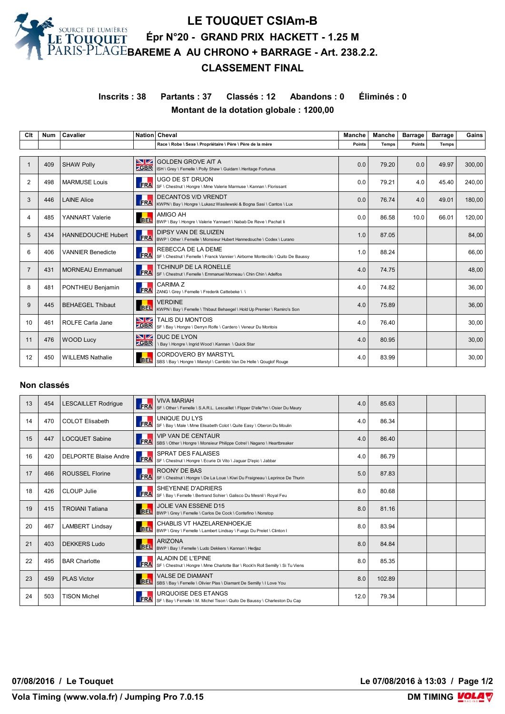**LE TOUQUET CSIAm-B Épr N°20 - GRAND PRIX HACKETT - 1.25 M BAREME A AU CHRONO + BARRAGE - Art. 238.2.2.**

## **CLASSEMENT FINAL**

**Inscrits : 38 Partants : 37 Classés : 12 Abandons : 0 Éliminés : 0 Montant de la dotation globale : 1200,00**

| Clt            | <b>Num</b> | Cavalier                  |                    | Nation Cheval                                                                                          | Manche        | <b>Manche</b> | <b>Barrage</b> | <b>Barrage</b> | Gains  |
|----------------|------------|---------------------------|--------------------|--------------------------------------------------------------------------------------------------------|---------------|---------------|----------------|----------------|--------|
|                |            |                           |                    | Race \ Robe \ Sexe \ Propriétaire \ Père \ Père de la mère                                             | <b>Points</b> | <b>Temps</b>  | <b>Points</b>  | <b>Temps</b>   |        |
|                |            |                           |                    |                                                                                                        |               |               |                |                |        |
|                | 409        | <b>SHAW Polly</b>         | NZ.<br><b>ZGBR</b> | <b>GOLDEN GROVE AIT A</b><br>ISH \ Grey \ Femelle \ Polly Shaw \ Guidam \ Heritage Fortunus            | 0.0           | 79.20         | 0.0            | 49.97          | 300.00 |
| $\overline{2}$ | 498        | <b>MARMUSE Louis</b>      | <b>FRA</b>         | <b>UGO DE ST DRUON</b><br>SF \ Chestnut \ Hongre \ Mme Valerie Marmuse \ Kannan \ Florissant           | 0.0           | 79.21         | 4.0            | 45.40          | 240.00 |
| 3              | 446        | <b>LAINE Alice</b>        | <b>ERA</b>         | <b>DECANTOS V/D VRENDT</b><br>KWPN \ Bay \ Hongre \ Lukasz Wasilewski & Bogna Sasi \ Cantos \ Lux      | 0.0           | 76.74         | 4.0            | 49.01          | 180,00 |
| 4              | 485        | <b>YANNART Valerie</b>    | <b>BEL</b>         | <b>AMIGO AH</b><br>BWP \ Bay \ Hongre \ Valerie Yannaert \ Nabab De Reve \ Pachat li                   | 0.0           | 86.58         | 10.0           | 66.01          | 120,00 |
| 5              | 434        | <b>HANNEDOUCHE Hubert</b> | <b>FRA</b>         | <b>DIPSY VAN DE SLUIZEN</b><br>BWP \ Other \ Femelle \ Monsieur Hubert Hannedouche \ Codex \ Lurano    | 1.0           | 87.05         |                |                | 84,00  |
| 6              | 406        | <b>VANNIER Benedicte</b>  | <b>FRA</b>         | REBECCA DE LA DEME<br>SF \ Chestnut \ Femelle \ Franck Vannier \ Airborne Montecillo \ Quito De Baussy | 1.0           | 88.24         |                |                | 66.00  |
| $\overline{7}$ | 431        | <b>MORNEAU Emmanuel</b>   | <b>FRA</b>         | <b>TCHINUP DE LA RONELLE</b><br>SF \ Chestnut \ Femelle \ Emmanuel Morneau \ Chin Chin \ Adelfos       | 4.0           | 74.75         |                |                | 48,00  |
| 8              | 481        | PONTHIEU Benjamin         | <b>FRA</b>         | CARIMA Z<br>ZANG \ Grey \ Femelle \ Frederik Cattebeke \ \                                             | 4.0           | 74.82         |                |                | 36,00  |
| 9              | 445        | <b>BEHAEGEL Thibaut</b>   | <b>BEL</b>         | <b>VERDINE</b><br>KWPN \ Bay \ Femelle \ Thibaut Behaegel \ Hold Up Premier \ Ramiro's Son             | 4.0           | 75.89         |                |                | 36,00  |
| 10             | 461        | <b>ROLFE Carla Jane</b>   | NZ.<br><b>ZGBR</b> | <b>TALIS DU MONTOIS</b><br>SF \ Bay \ Hongre \ Derryn Rolfe \ Cardero \ Veneur Du Montois              | 4.0           | 76.40         |                |                | 30,00  |
| 11             | 476        | <b>WOOD Lucy</b>          | NZ<br><b>ZGBR</b>  | <b>DUC DE LYON</b><br>\ Bay \ Hongre \ Ingrid Wood \ Kannan \ Quick Star                               | 4.0           | 80.95         |                |                | 30,00  |
| 12             | 450        | <b>WILLEMS Nathalie</b>   | <b>BEL</b>         | <b>CORDOVERO BY MARSTYL</b><br>SBS \ Bay \ Hongre \ Marstyl \ Cambito Van De Helle \ Qouglof Rouge     | 4.0           | 83.99         |                |                | 30,00  |

## **Non classés**

| 13 | 454 | <b>LESCAILLET Rodrigue</b>   | FRA        | <b>VIVA MARIAH</b><br>SF \ Other \ Femelle \ S.A.R.L. Lescaillet \ Flipper D'elle*hn \ Osier Du Maury      | 4.0  | 85.63  |  |  |
|----|-----|------------------------------|------------|------------------------------------------------------------------------------------------------------------|------|--------|--|--|
| 14 | 470 | <b>COLOT Elisabeth</b>       | FRA        | UNIQUE DU LYS<br>SF \ Bay \ Male \ Mme Elisabeth Colot \ Quite Easy \ Oberon Du Moulin                     | 4.0  | 86.34  |  |  |
| 15 | 447 | <b>LOCQUET Sabine</b>        | FRA        | <b>VIP VAN DE CENTAUR</b><br>SBS \ Other \ Hongre \ Monsieur Philippe Cotrel \ Nagano \ Heartbreaker       | 4.0  | 86.40  |  |  |
| 16 | 420 | <b>DELPORTE Blaise Andre</b> | FRA        | <b>SPRAT DES FALAISES</b><br>SF \ Chestnut \ Hongre \ Ecurie Di Vito \ Jaguar D'epic \ Jabbar              | 4.0  | 86.79  |  |  |
| 17 | 466 | <b>ROUSSEL Florine</b>       | FRA        | ROONY DE BAS<br>SF \ Chestnut \ Hongre \ De La Loue \ Kiwi Du Fraigneau \ Leprince De Thurin               | 5.0  | 87.83  |  |  |
| 18 | 426 | CLOUP Julie                  | FRA        | <b>SHEYENNE D'ADRIERS</b><br>SF \ Bay \ Femelle \ Bertrand Sohier \ Galisco Du Mesnil \ Royal Feu          | 8.0  | 80.68  |  |  |
| 19 | 415 | <b>TROIANI Tatiana</b>       | <b>BEL</b> | JOLIE VAN ESSENE D15<br>BWP \ Grey \ Femelle \ Carlos De Cock \ Contefino \ Nonstop                        | 8.0  | 81.16  |  |  |
| 20 | 467 | <b>LAMBERT Lindsay</b>       | BEL.       | CHABLIS VT HAZELARENHOEKJE<br>BWP \ Grey \ Femelle \ Lambert Lindsay \ Fuego Du Prelet \ Clinton I         | 8.0  | 83.94  |  |  |
| 21 | 403 | <b>DEKKERS Ludo</b>          | <b>BEL</b> | <b>ARIZONA</b><br>BWP \ Bay \ Femelle \ Ludo Dekkers \ Kannan \ Hedjaz                                     | 8.0  | 84.84  |  |  |
| 22 | 495 | <b>BAR Charlotte</b>         | FRA        | <b>ALADIN DE L'EPINE</b><br>SF \ Chestnut \ Hongre \ Mme Charlotte Bar \ Rock'n Roll Semilly \ Si Tu Viens | 8.0  | 85.35  |  |  |
| 23 | 459 | <b>PLAS Victor</b>           | <b>BEL</b> | <b>VALSE DE DIAMANT</b><br>SBS \ Bay \ Femelle \ Olivier Plas \ Diamant De Semilly \ I Love You            | 8.0  | 102.89 |  |  |
| 24 | 503 | <b>TISON Michel</b>          | FRA        | <b>URQUOISE DES ETANGS</b><br>SF \ Bay \ Femelle \ M. Michel Tison \ Quito De Baussy \ Charleston Du Cap   | 12.0 | 79.34  |  |  |

**07/08/2016 / Le Touquet Le 07/08/2016 à 13:03 / Page 1/2**